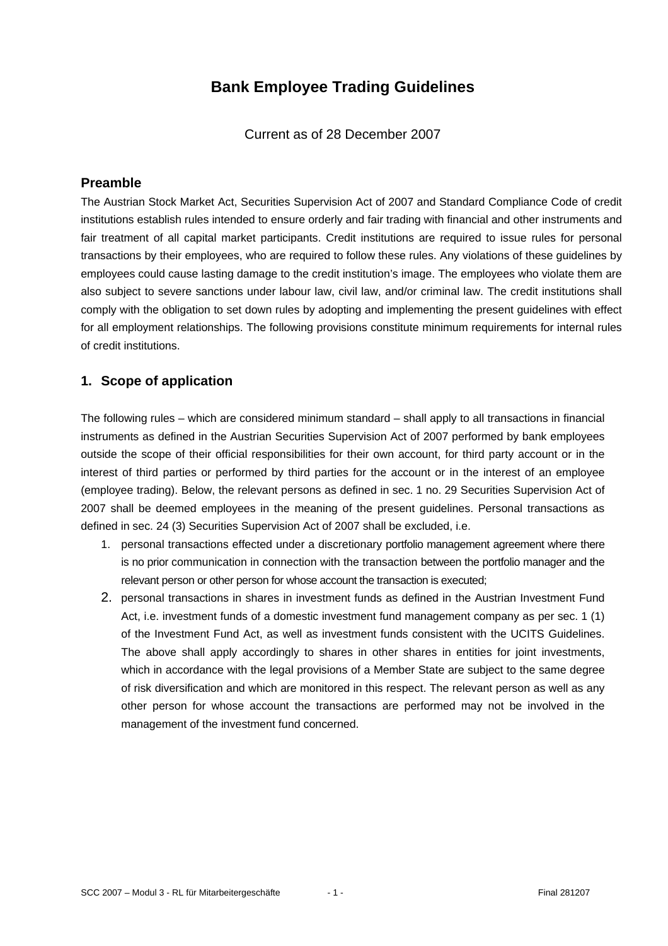# **Bank Employee Trading Guidelines**

Current as of 28 December 2007

#### **Preamble**

The Austrian Stock Market Act, Securities Supervision Act of 2007 and Standard Compliance Code of credit institutions establish rules intended to ensure orderly and fair trading with financial and other instruments and fair treatment of all capital market participants. Credit institutions are required to issue rules for personal transactions by their employees, who are required to follow these rules. Any violations of these guidelines by employees could cause lasting damage to the credit institution's image. The employees who violate them are also subject to severe sanctions under labour law, civil law, and/or criminal law. The credit institutions shall comply with the obligation to set down rules by adopting and implementing the present guidelines with effect for all employment relationships. The following provisions constitute minimum requirements for internal rules of credit institutions.

## **1. Scope of application**

The following rules – which are considered minimum standard – shall apply to all transactions in financial instruments as defined in the Austrian Securities Supervision Act of 2007 performed by bank employees outside the scope of their official responsibilities for their own account, for third party account or in the interest of third parties or performed by third parties for the account or in the interest of an employee (employee trading). Below, the relevant persons as defined in sec. 1 no. 29 Securities Supervision Act of 2007 shall be deemed employees in the meaning of the present guidelines. Personal transactions as defined in sec. 24 (3) Securities Supervision Act of 2007 shall be excluded, i.e.

- 1. personal transactions effected under a discretionary portfolio management agreement where there is no prior communication in connection with the transaction between the portfolio manager and the relevant person or other person for whose account the transaction is executed;
- 2. personal transactions in shares in investment funds as defined in the Austrian Investment Fund Act, i.e. investment funds of a domestic investment fund management company as per sec. 1 (1) of the Investment Fund Act, as well as investment funds consistent with the UCITS Guidelines. The above shall apply accordingly to shares in other shares in entities for joint investments, which in accordance with the legal provisions of a Member State are subject to the same degree of risk diversification and which are monitored in this respect. The relevant person as well as any other person for whose account the transactions are performed may not be involved in the management of the investment fund concerned.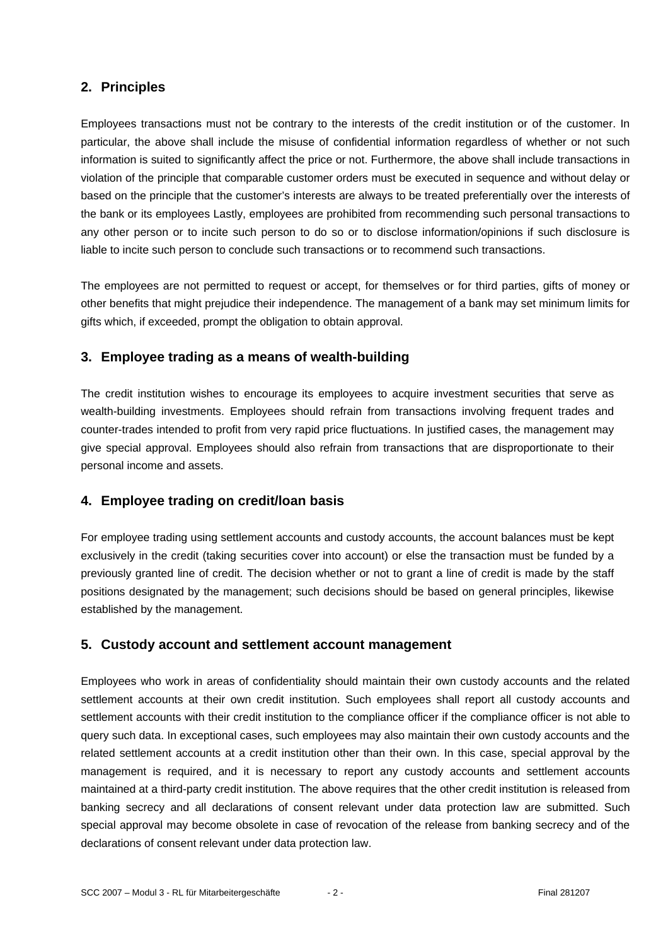# **2. Principles**

Employees transactions must not be contrary to the interests of the credit institution or of the customer. In particular, the above shall include the misuse of confidential information regardless of whether or not such information is suited to significantly affect the price or not. Furthermore, the above shall include transactions in violation of the principle that comparable customer orders must be executed in sequence and without delay or based on the principle that the customer's interests are always to be treated preferentially over the interests of the bank or its employees Lastly, employees are prohibited from recommending such personal transactions to any other person or to incite such person to do so or to disclose information/opinions if such disclosure is liable to incite such person to conclude such transactions or to recommend such transactions.

The employees are not permitted to request or accept, for themselves or for third parties, gifts of money or other benefits that might prejudice their independence. The management of a bank may set minimum limits for gifts which, if exceeded, prompt the obligation to obtain approval.

#### **3. Employee trading as a means of wealth-building**

The credit institution wishes to encourage its employees to acquire investment securities that serve as wealth-building investments. Employees should refrain from transactions involving frequent trades and counter-trades intended to profit from very rapid price fluctuations. In justified cases, the management may give special approval. Employees should also refrain from transactions that are disproportionate to their personal income and assets.

## **4. Employee trading on credit/loan basis**

For employee trading using settlement accounts and custody accounts, the account balances must be kept exclusively in the credit (taking securities cover into account) or else the transaction must be funded by a previously granted line of credit. The decision whether or not to grant a line of credit is made by the staff positions designated by the management; such decisions should be based on general principles, likewise established by the management.

#### **5. Custody account and settlement account management**

Employees who work in areas of confidentiality should maintain their own custody accounts and the related settlement accounts at their own credit institution. Such employees shall report all custody accounts and settlement accounts with their credit institution to the compliance officer if the compliance officer is not able to query such data. In exceptional cases, such employees may also maintain their own custody accounts and the related settlement accounts at a credit institution other than their own. In this case, special approval by the management is required, and it is necessary to report any custody accounts and settlement accounts maintained at a third-party credit institution. The above requires that the other credit institution is released from banking secrecy and all declarations of consent relevant under data protection law are submitted. Such special approval may become obsolete in case of revocation of the release from banking secrecy and of the declarations of consent relevant under data protection law.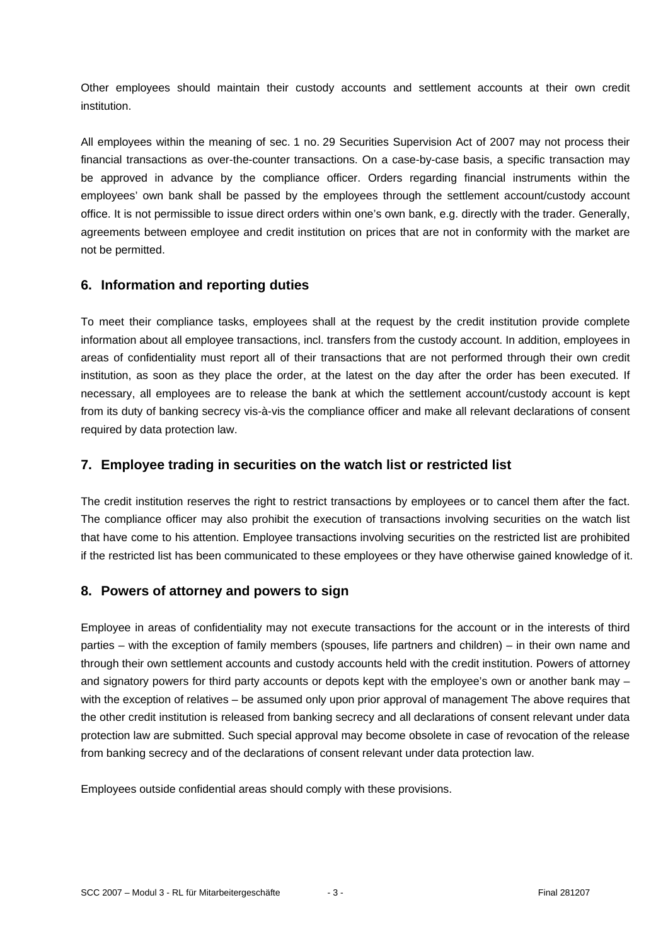Other employees should maintain their custody accounts and settlement accounts at their own credit institution.

All employees within the meaning of sec. 1 no. 29 Securities Supervision Act of 2007 may not process their financial transactions as over-the-counter transactions. On a case-by-case basis, a specific transaction may be approved in advance by the compliance officer. Orders regarding financial instruments within the employees' own bank shall be passed by the employees through the settlement account/custody account office. It is not permissible to issue direct orders within one's own bank, e.g. directly with the trader. Generally, agreements between employee and credit institution on prices that are not in conformity with the market are not be permitted.

## **6. Information and reporting duties**

To meet their compliance tasks, employees shall at the request by the credit institution provide complete information about all employee transactions, incl. transfers from the custody account. In addition, employees in areas of confidentiality must report all of their transactions that are not performed through their own credit institution, as soon as they place the order, at the latest on the day after the order has been executed. If necessary, all employees are to release the bank at which the settlement account/custody account is kept from its duty of banking secrecy vis-à-vis the compliance officer and make all relevant declarations of consent required by data protection law.

#### **7. Employee trading in securities on the watch list or restricted list**

The credit institution reserves the right to restrict transactions by employees or to cancel them after the fact. The compliance officer may also prohibit the execution of transactions involving securities on the watch list that have come to his attention. Employee transactions involving securities on the restricted list are prohibited if the restricted list has been communicated to these employees or they have otherwise gained knowledge of it.

## **8. Powers of attorney and powers to sign**

Employee in areas of confidentiality may not execute transactions for the account or in the interests of third parties – with the exception of family members (spouses, life partners and children) – in their own name and through their own settlement accounts and custody accounts held with the credit institution. Powers of attorney and signatory powers for third party accounts or depots kept with the employee's own or another bank may – with the exception of relatives – be assumed only upon prior approval of management The above requires that the other credit institution is released from banking secrecy and all declarations of consent relevant under data protection law are submitted. Such special approval may become obsolete in case of revocation of the release from banking secrecy and of the declarations of consent relevant under data protection law.

Employees outside confidential areas should comply with these provisions.